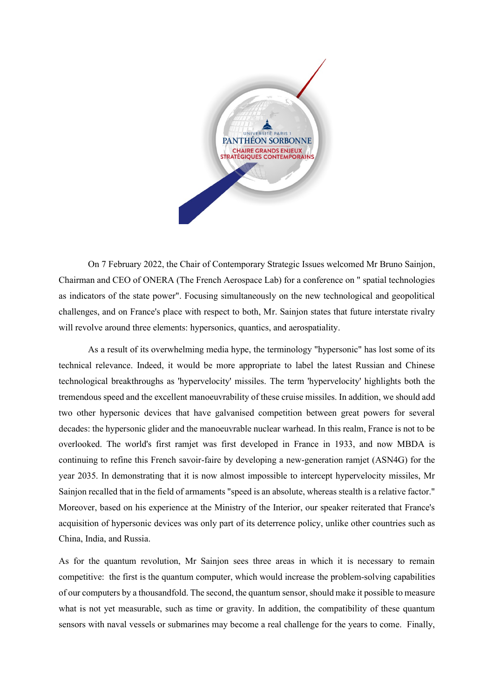

On 7 February 2022, the Chair of Contemporary Strategic Issues welcomed Mr Bruno Sainjon, Chairman and CEO of ONERA (The French Aerospace Lab) for a conference on " spatial technologies as indicators of the state power". Focusing simultaneously on the new technological and geopolitical challenges, and on France's place with respect to both, Mr. Sainjon states that future interstate rivalry will revolve around three elements: hypersonics, quantics, and aerospatiality.

As a result of its overwhelming media hype, the terminology "hypersonic" has lost some of its technical relevance. Indeed, it would be more appropriate to label the latest Russian and Chinese technological breakthroughs as 'hypervelocity' missiles. The term 'hypervelocity' highlights both the tremendous speed and the excellent manoeuvrability of these cruise missiles. In addition, we should add two other hypersonic devices that have galvanised competition between great powers for several decades: the hypersonic glider and the manoeuvrable nuclear warhead. In this realm, France is not to be overlooked. The world's first ramjet was first developed in France in 1933, and now MBDA is continuing to refine this French savoir-faire by developing a new-generation ramjet (ASN4G) for the year 2035. In demonstrating that it is now almost impossible to intercept hypervelocity missiles, Mr Sainjon recalled that in the field of armaments "speed is an absolute, whereas stealth is a relative factor." Moreover, based on his experience at the Ministry of the Interior, our speaker reiterated that France's acquisition of hypersonic devices was only part of its deterrence policy, unlike other countries such as China, India, and Russia.

As for the quantum revolution, Mr Sainjon sees three areas in which it is necessary to remain competitive: the first is the quantum computer, which would increase the problem-solving capabilities of our computers by a thousandfold. The second, the quantum sensor, should make it possible to measure what is not yet measurable, such as time or gravity. In addition, the compatibility of these quantum sensors with naval vessels or submarines may become a real challenge for the years to come. Finally,